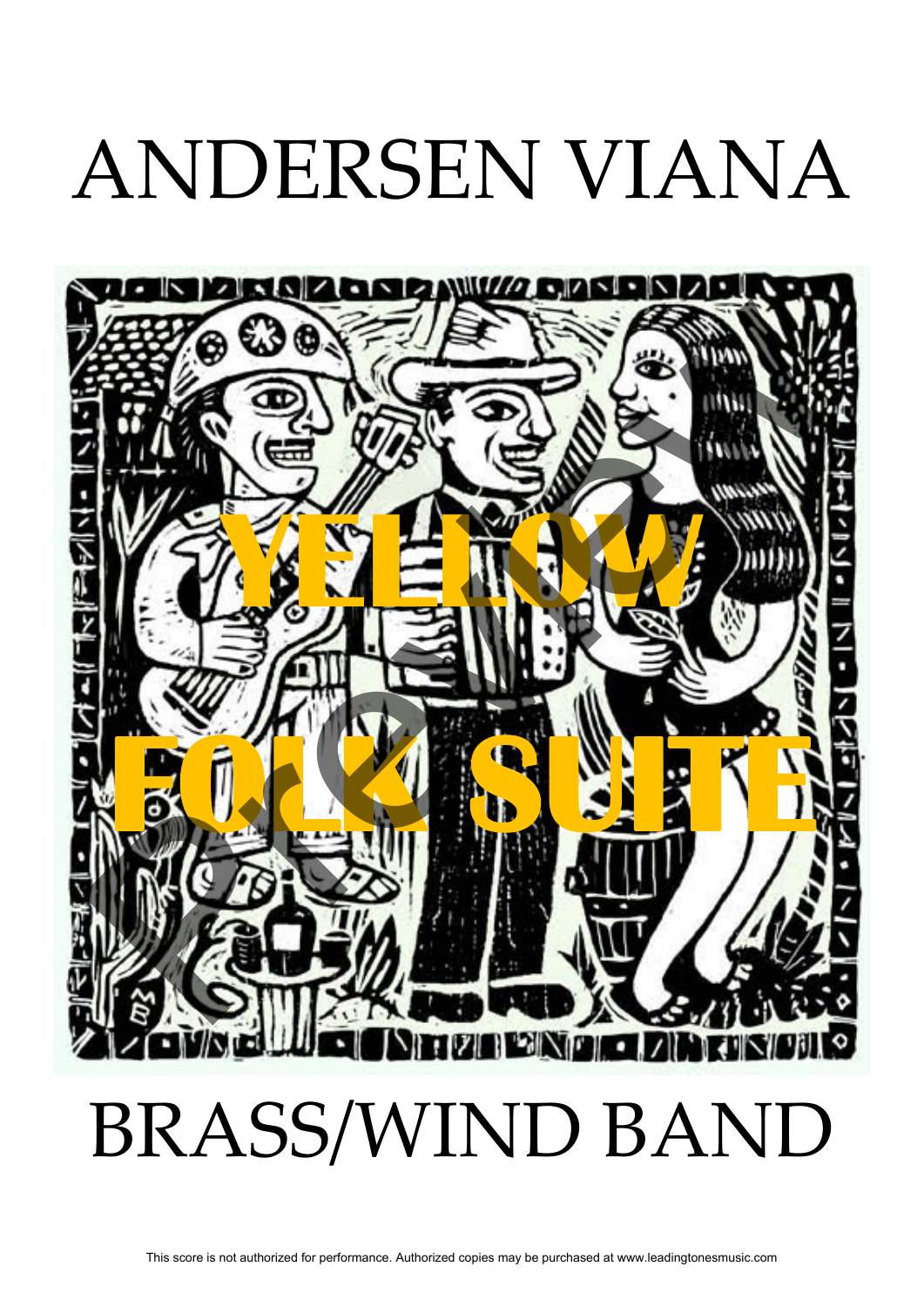## ANDERSEN VIANA

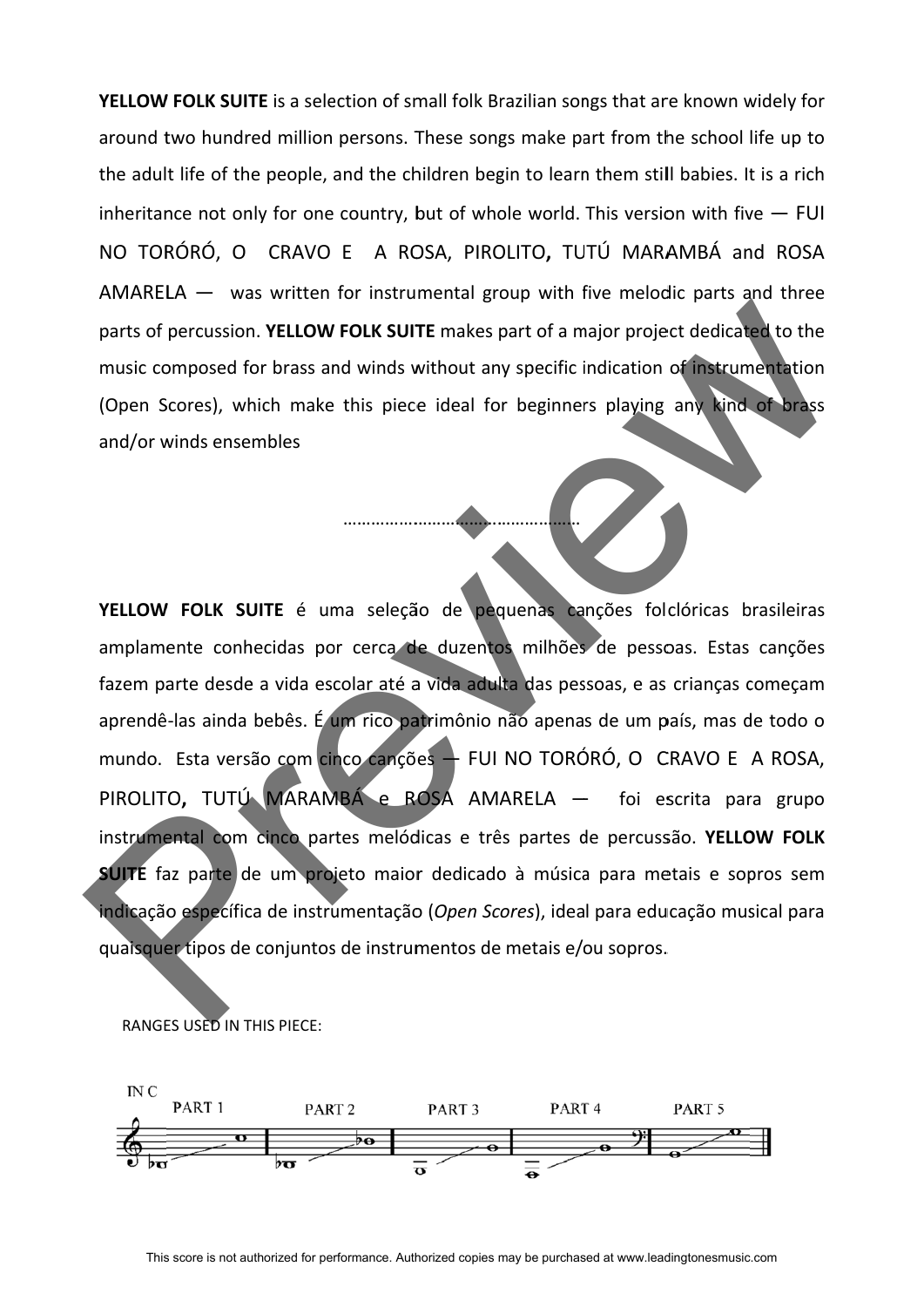YELLOW FOLK SUITE is a selection of small folk Brazilian songs that are known widely for around two hundred million persons. These songs make part from the school life up to the adult life of the people, and the children begin to learn them still babies. It is a rich inheritance not only for one country, but of whole world. This version with five  $-$  FUI NO TORÓRÓ, O CRAVO E A ROSA, PIROLITO, TUTÚ MARAMBÁ and ROSA AMARELA  $-$  was written for instrumental group with five melodic parts and three parts of percussion. YELLOW FOLK SUITE makes part of a major project dedicated to the music composed for brass and winds without any specific indication of instrumentation (Open Scores), which make this piece ideal for beginners playing any kind of brass and/or winds ensembles

…………………

…………<mark>……</mark>…

……………

YELLOW FOLK SUITE é uma seleção de pequenas canções folclóricas brasileiras amplamente conhecidas por cerca de duzentos milhões de pessoas. Estas canções fazem parte desde a vida escolar até a vida adulta das pessoas, e as crianças começam aprendê-las ainda bebês. É um rico patrimônio não apenas de um país, mas de todo o mundo. Esta versão com cinco canções — FUI NO TORÓRÓ, O CRAVO E A ROSA, PIROLITO, TUTÚ MARAMBÁ e ROSA AMARELA — foi escrita para grupo instrumental com cinco partes melódicas e três partes de percussão. YELLOW FOLK **SUITE** faz parte de um projeto maior dedicado à música para metais e sopros sem indicação específica de instrumentação (*Open Scores*), ideal para educação musical para quaisquer tipos de conjuntos de instrumentos de metais e/ou sopros. parts of percussion. **YELLOW FOLK SUITE** makes part of a major project dedicated to the<br>music composed for brass and winds without any specific indication of instrumentation<br>(Open Scores), which make this piece ideal for b

RANGES USED IN THIS PIECE:

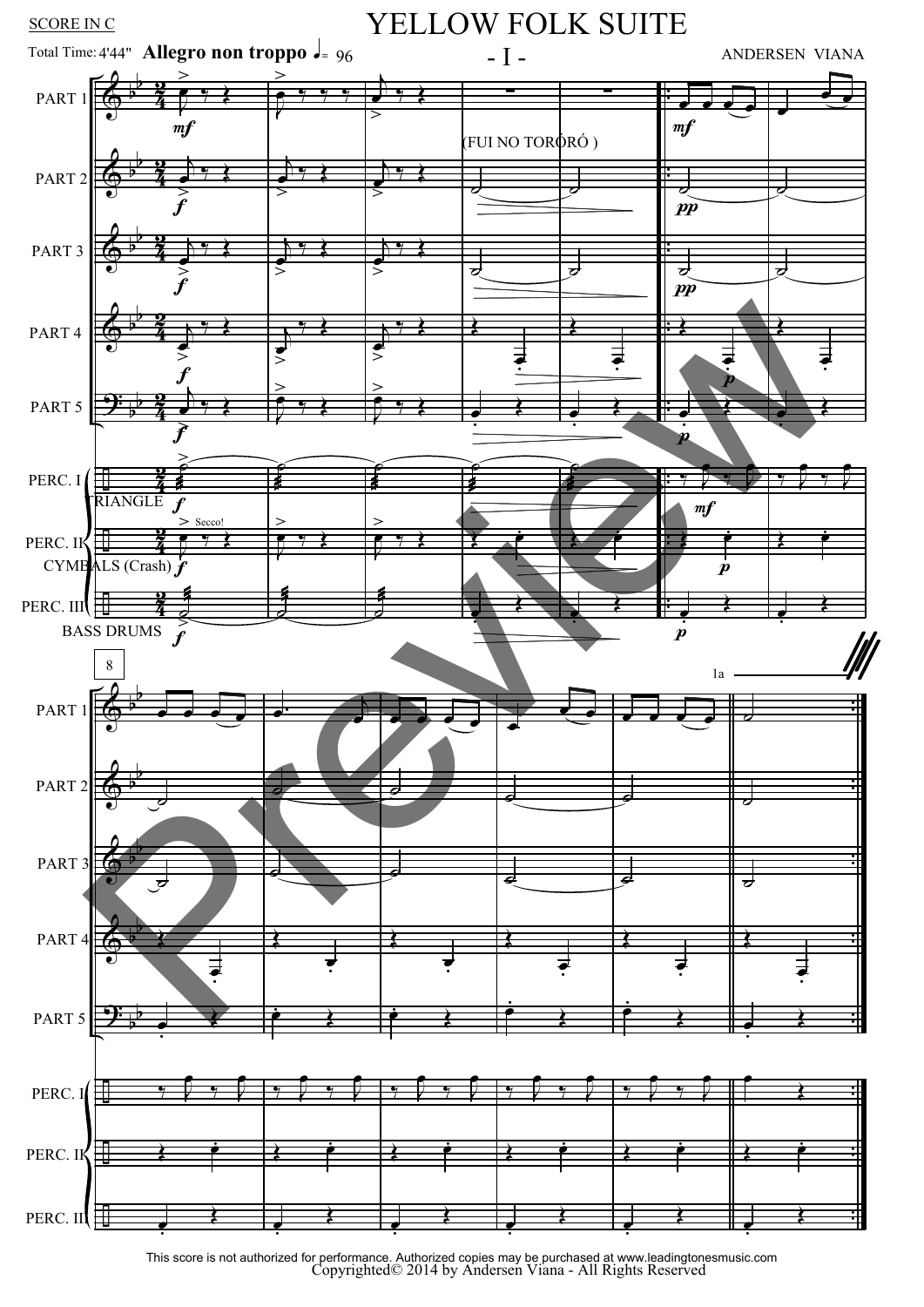

Copyrighted© 2014 by Andersen Viana - All Rights Reserved This score is not authorized for performance. Authorized copies may be purchased at www.leadingtonesmusic.com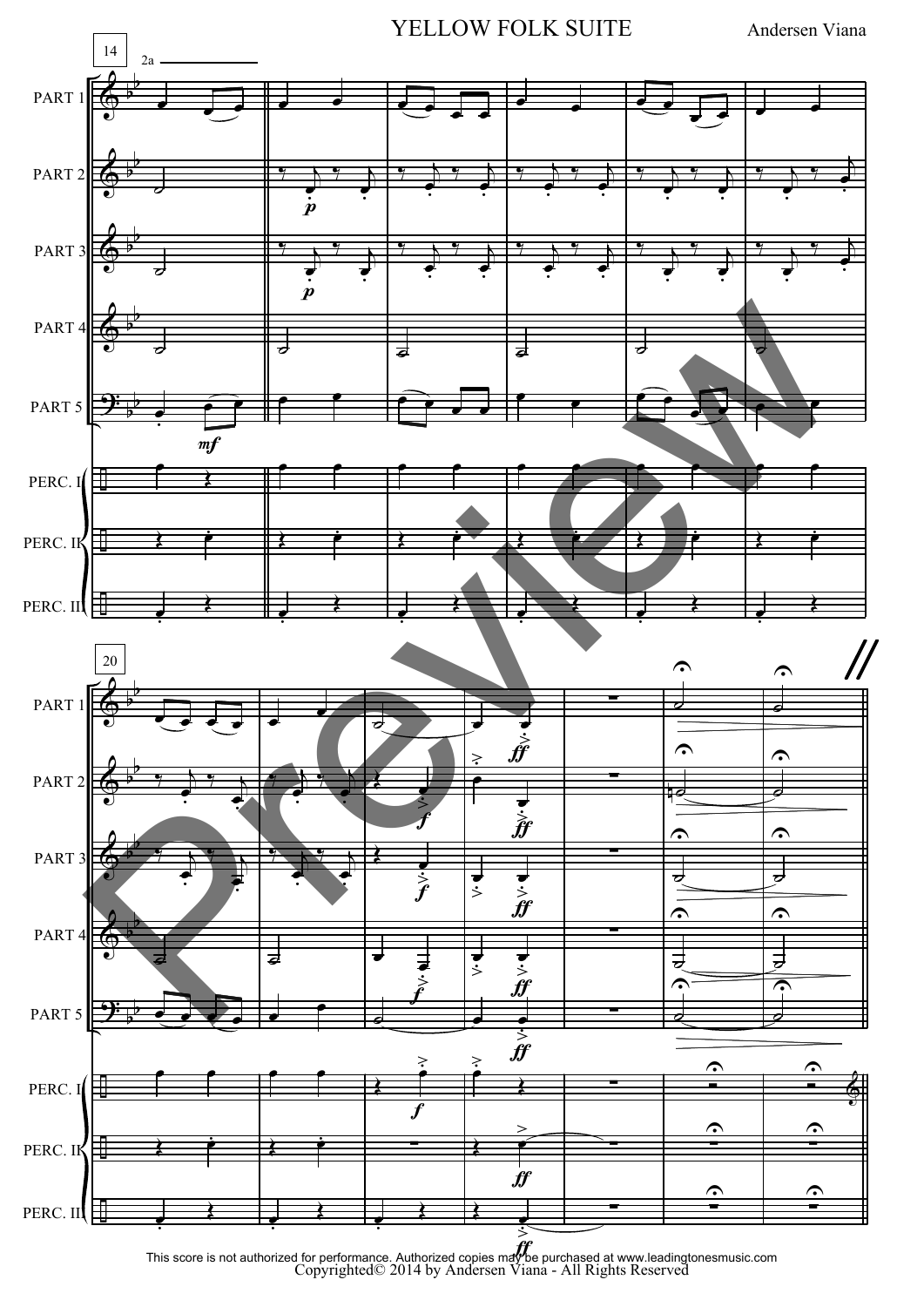![](_page_3_Figure_0.jpeg)

 $\hat{y}$ Copyrighted© 2014 by Andersen Viana - All Rights Reserved This score is not authorized for performance. Authorized copies may be purchased at www.leadingtonesmusic.com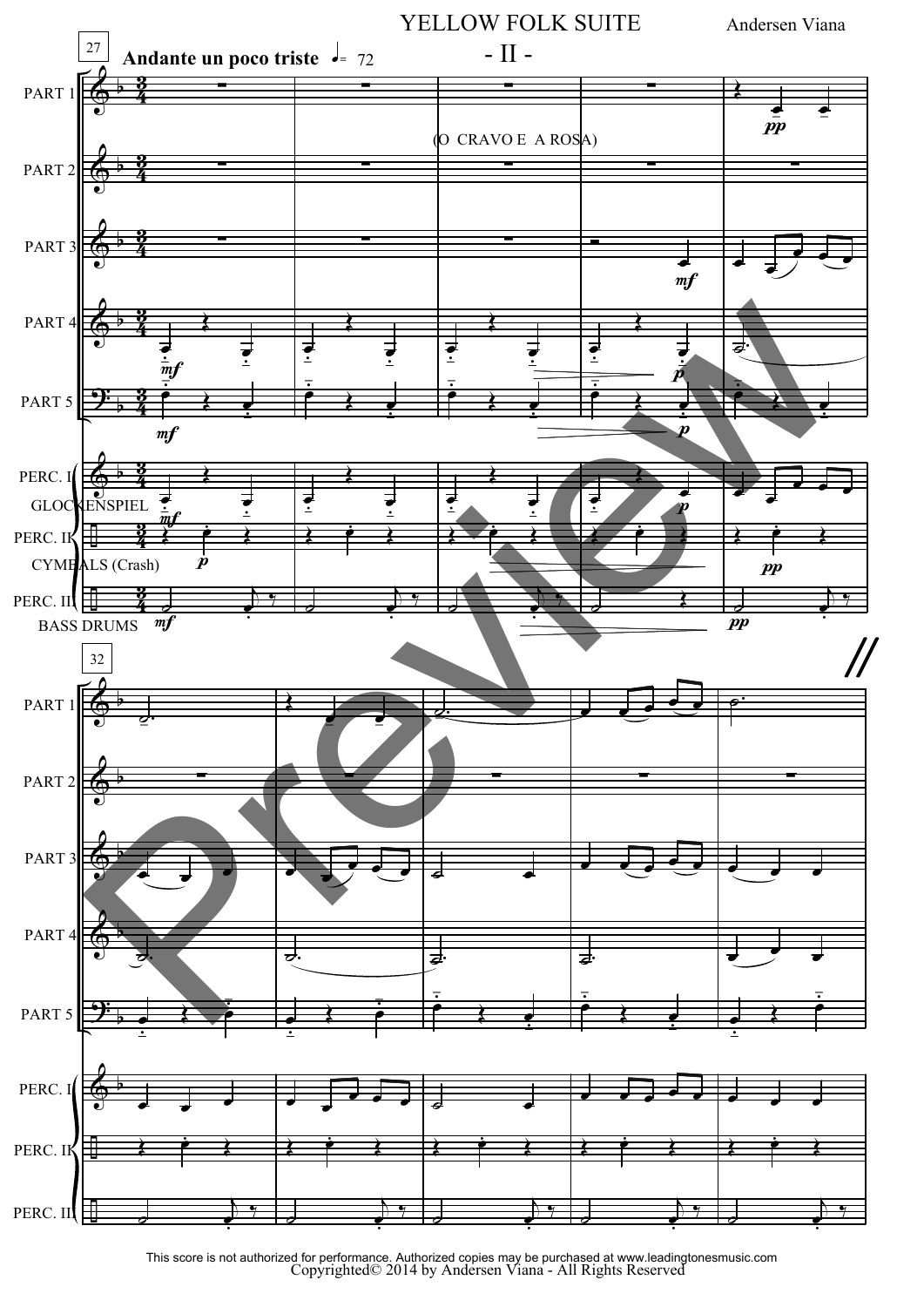![](_page_4_Figure_0.jpeg)

Copyrighted© 2014 by Andersen Viana - All Rights Reserved This score is not authorized for performance. Authorized copies may be purchased at www.leadingtonesmusic.com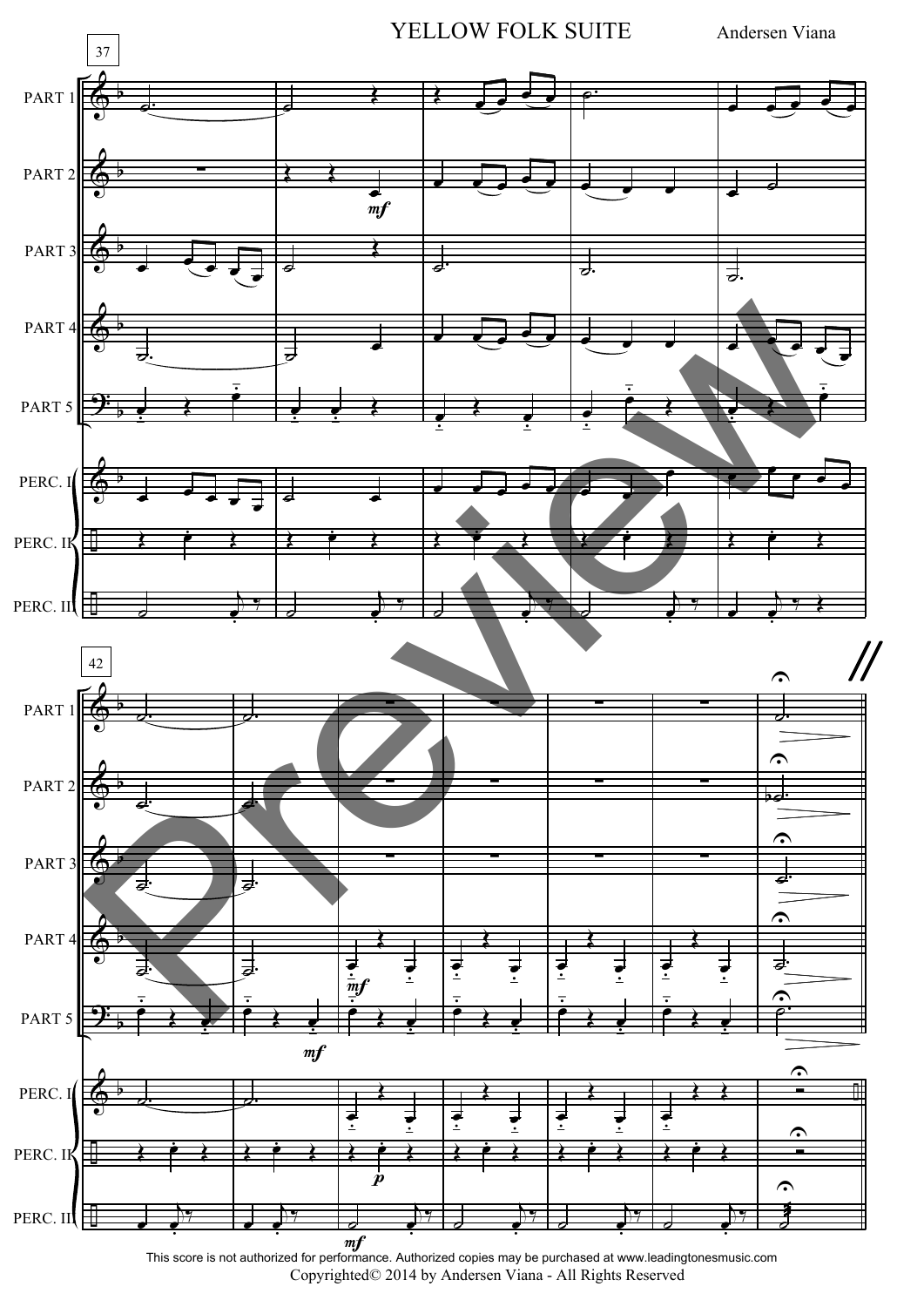![](_page_5_Figure_0.jpeg)

Copyrighted© 2014 by Andersen Viana - All Rights Reserved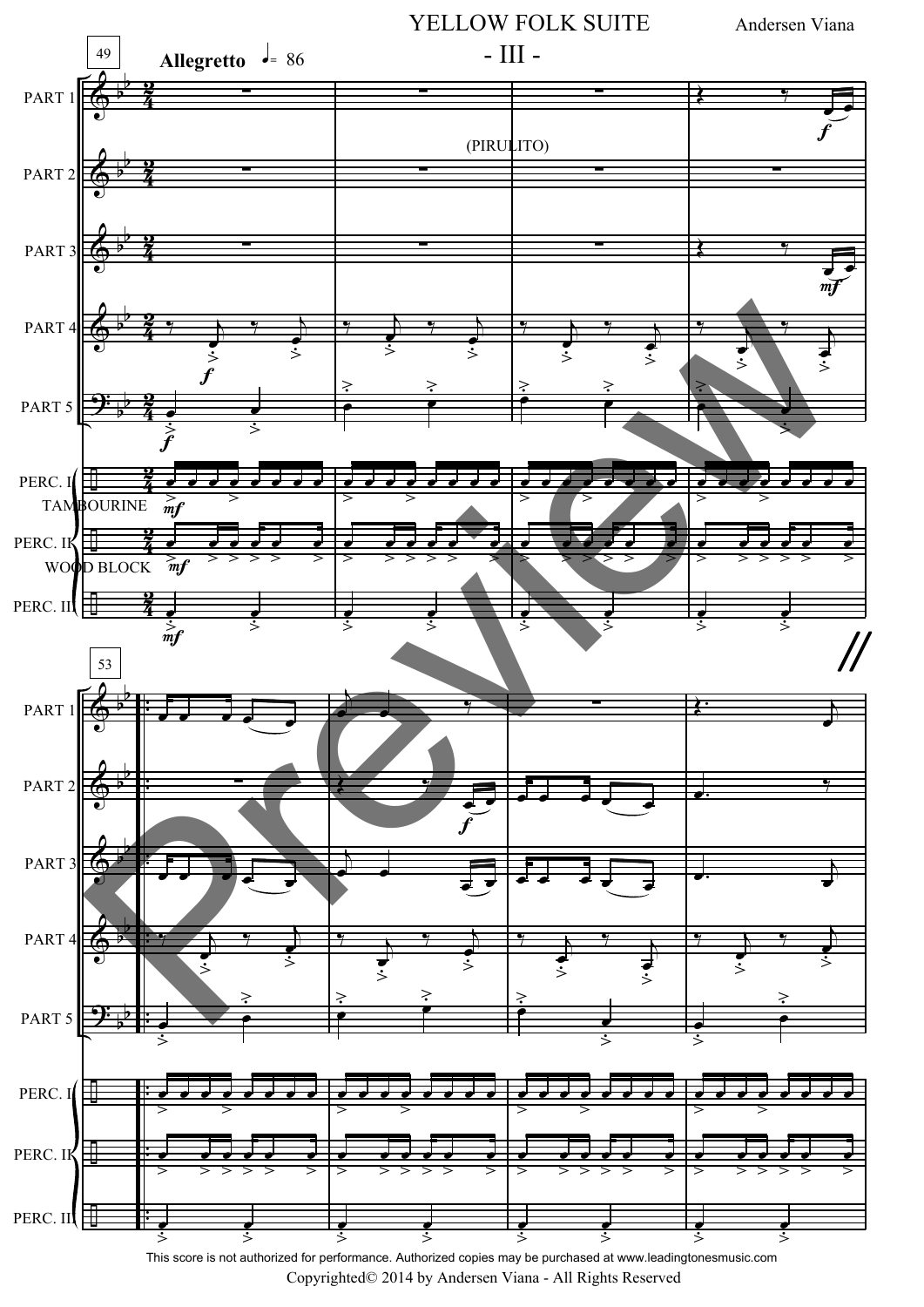![](_page_6_Figure_0.jpeg)

Copyrighted© 2014 by Andersen Viana - All Rights Reserved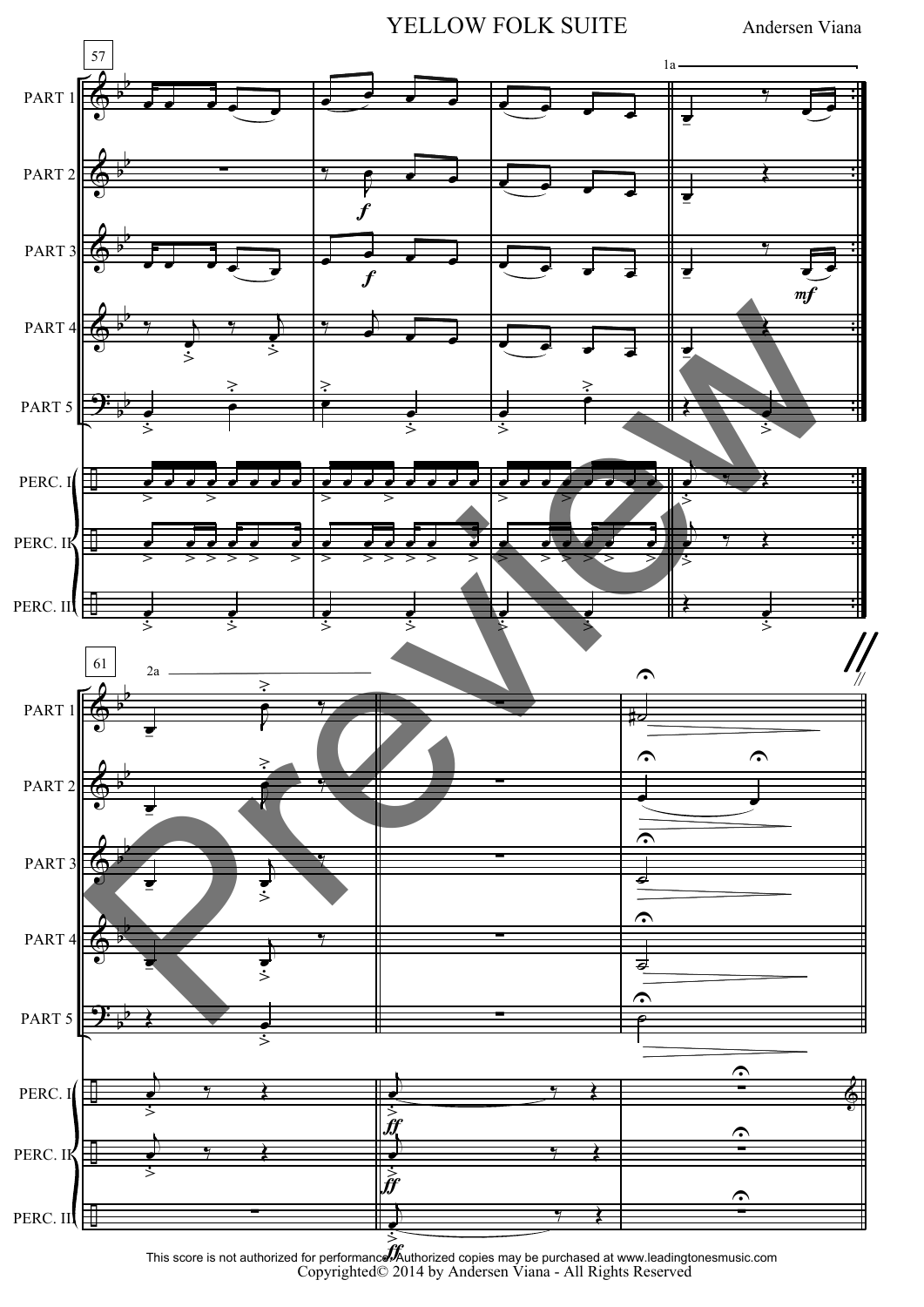YELLOW FOLK SUITE Andersen Viana

![](_page_7_Figure_2.jpeg)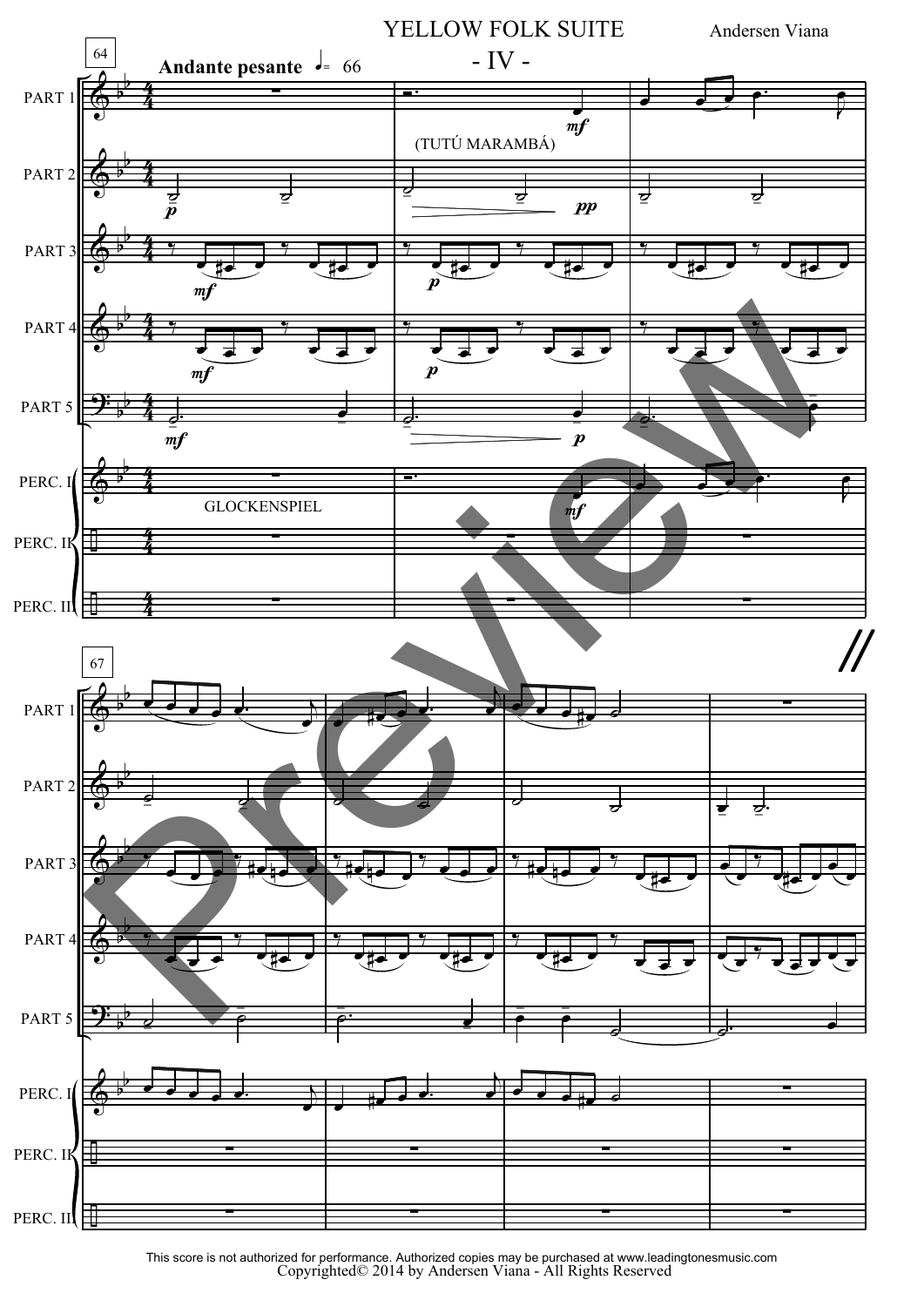![](_page_8_Figure_0.jpeg)

Copyrighted© 2014 by Andersen Viana - All Rights Reserved This score is not authorized for performance. Authorized copies may be purchased at www.leadingtonesmusic.com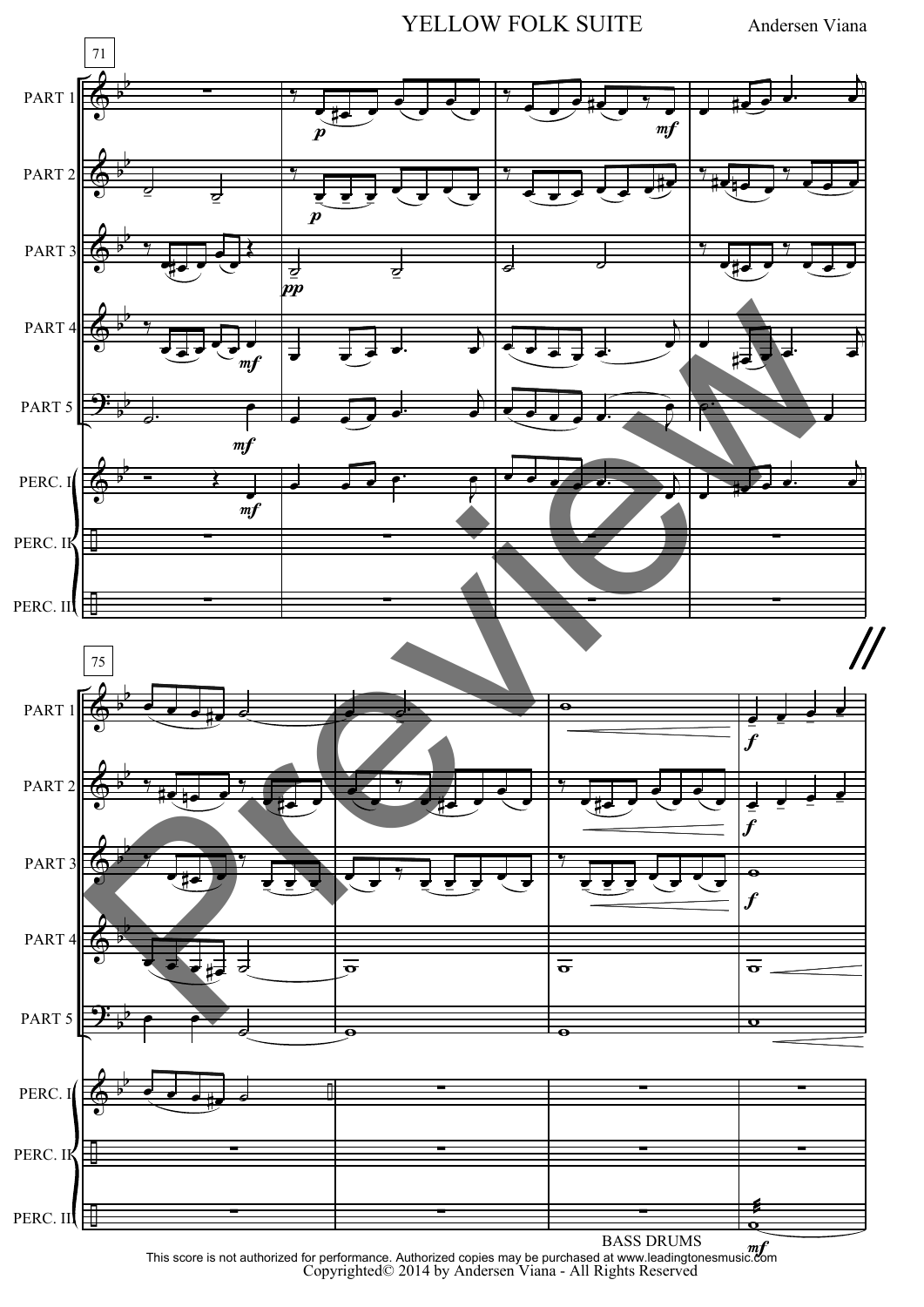![](_page_9_Figure_0.jpeg)

![](_page_9_Figure_2.jpeg)

 $\frac{m}{2}$ This score is not authorized for performance. Authorized copies may be purchased at www.leadingtonesmusic.com<br>Copyrighted© 2014 by Andersen Viana - All Rights Reserved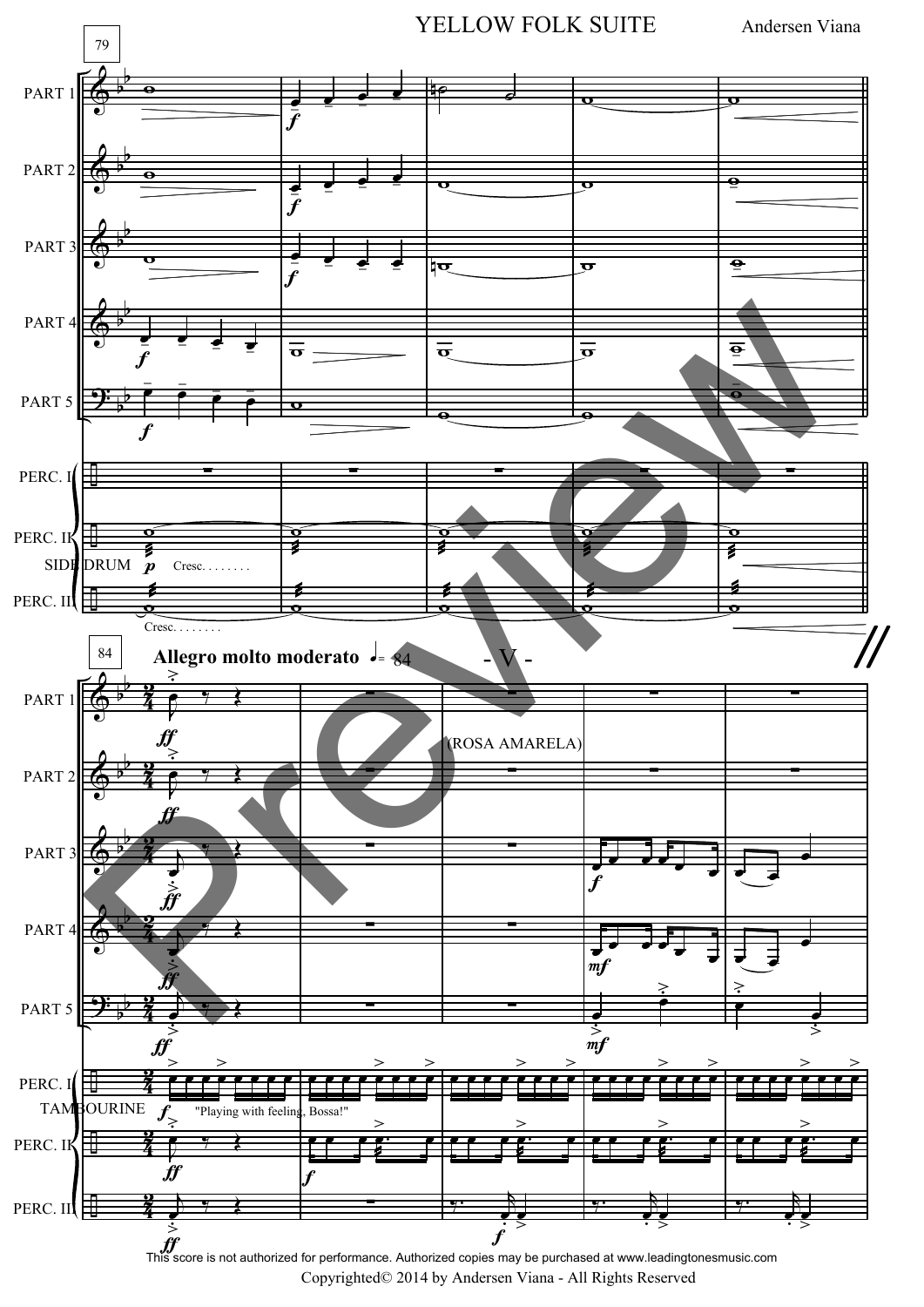![](_page_10_Figure_0.jpeg)

Copyrighted© 2014 by Andersen Viana - All Rights Reserved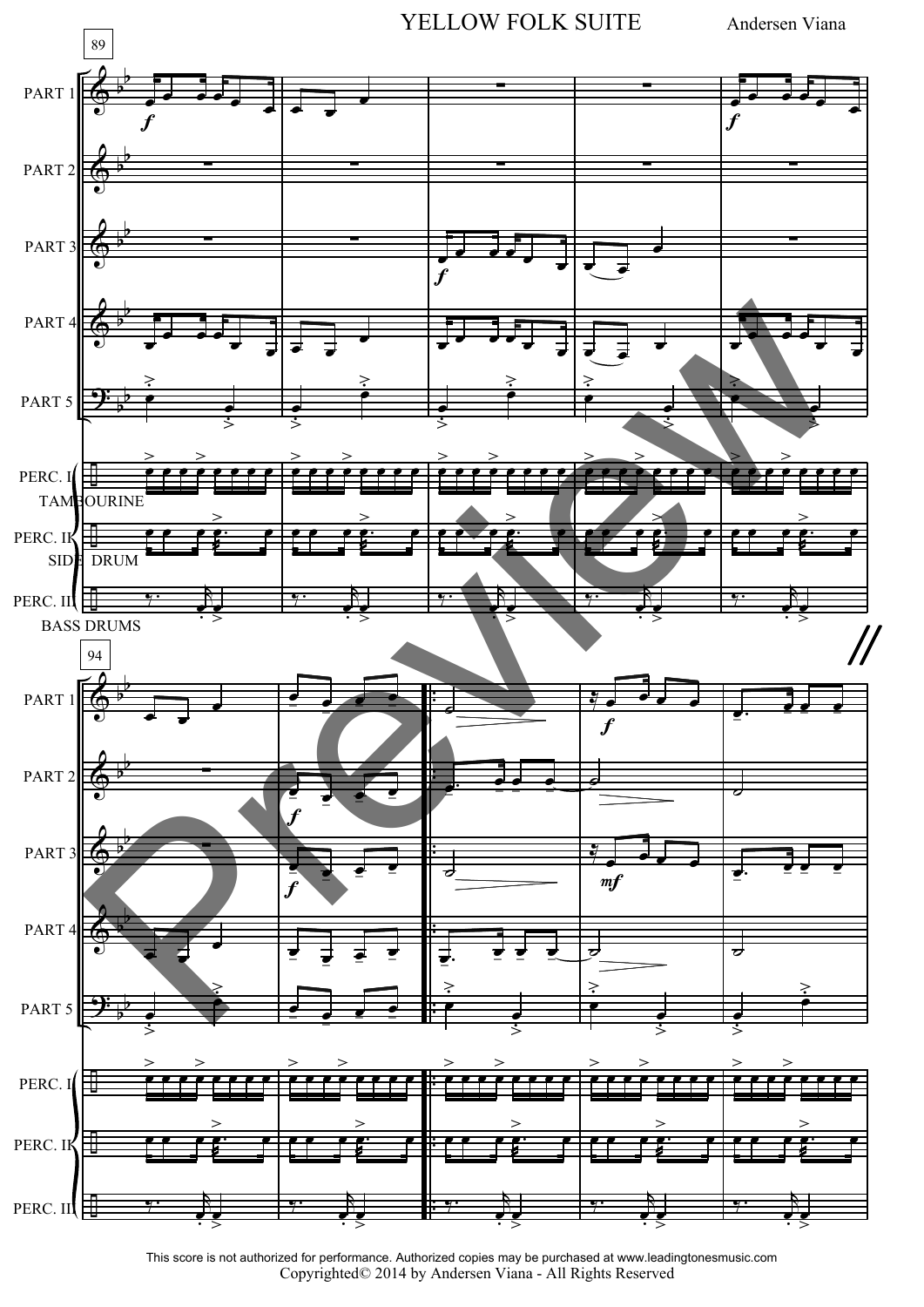![](_page_11_Figure_0.jpeg)

Copyrighted© 2014 by Andersen Viana - All Rights Reserved This score is not authorized for performance. Authorized copies may be purchased at www.leadingtonesmusic.com